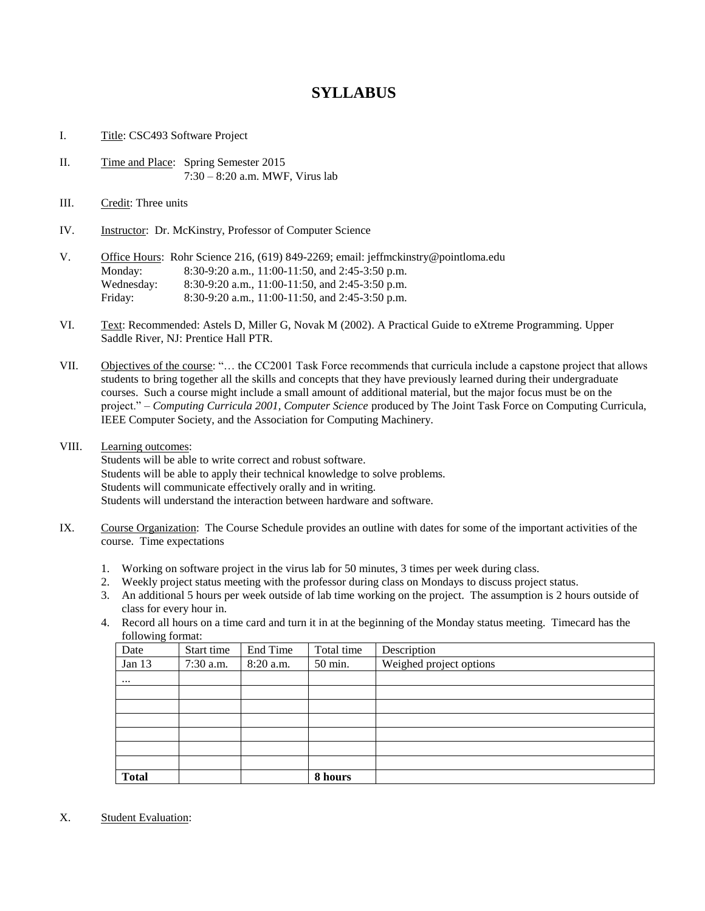## **SYLLABUS**

- I. Title: CSC493 Software Project
- II. Time and Place: Spring Semester 2015 7:30 – 8:20 a.m. MWF, Virus lab
- III. Credit: Three units
- IV. Instructor: Dr. McKinstry, Professor of Computer Science
- V. Office Hours: Rohr Science 216, (619) 849-2269; email: jeffmckinstry@pointloma.edu Monday: 8:30-9:20 a.m., 11:00-11:50, and 2:45-3:50 p.m. Wednesday: 8:30-9:20 a.m., 11:00-11:50, and 2:45-3:50 p.m. Friday: 8:30-9:20 a.m., 11:00-11:50, and 2:45-3:50 p.m.
- VI. Text: Recommended: Astels D, Miller G, Novak M (2002). A Practical Guide to eXtreme Programming. Upper Saddle River, NJ: Prentice Hall PTR.
- VII. Objectives of the course: "… the CC2001 Task Force recommends that curricula include a capstone project that allows students to bring together all the skills and concepts that they have previously learned during their undergraduate courses. Such a course might include a small amount of additional material, but the major focus must be on the project." – *Computing Curricula 2001, Computer Science* produced by The Joint Task Force on Computing Curricula, IEEE Computer Society, and the Association for Computing Machinery.
- VIII. Learning outcomes:

Students will be able to write correct and robust software. Students will be able to apply their technical knowledge to solve problems. Students will communicate effectively orally and in writing. Students will understand the interaction between hardware and software.

- IX. Course Organization: The Course Schedule provides an outline with dates for some of the important activities of the course. Time expectations
	- 1. Working on software project in the virus lab for 50 minutes, 3 times per week during class.
	- 2. Weekly project status meeting with the professor during class on Mondays to discuss project status.
	- 3. An additional 5 hours per week outside of lab time working on the project. The assumption is 2 hours outside of class for every hour in.
	- 4. Record all hours on a time card and turn it in at the beginning of the Monday status meeting. Timecard has the following format:

| ັ<br>Date    | Start time | End Time  | Total time | Description             |
|--------------|------------|-----------|------------|-------------------------|
| Jan 13       | 7:30 a.m.  | 8:20 a.m. | 50 min.    | Weighed project options |
| $\cdots$     |            |           |            |                         |
|              |            |           |            |                         |
|              |            |           |            |                         |
|              |            |           |            |                         |
|              |            |           |            |                         |
|              |            |           |            |                         |
|              |            |           |            |                         |
| <b>Total</b> |            |           | 8 hours    |                         |

X. Student Evaluation: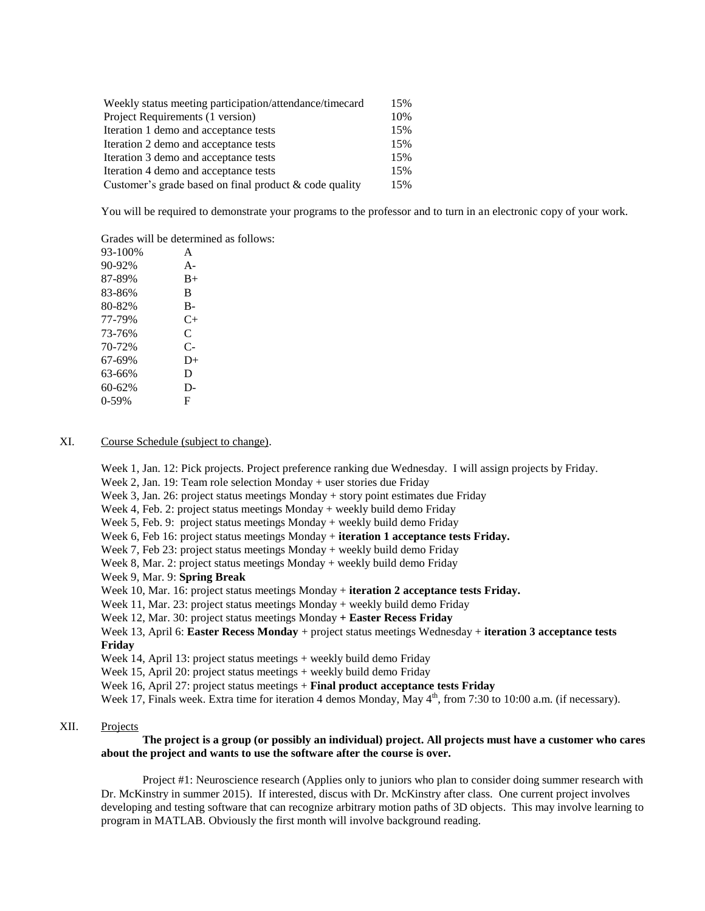| Weekly status meeting participation/attendance/timecard   |     |  |
|-----------------------------------------------------------|-----|--|
| Project Requirements (1 version)                          | 10% |  |
| Iteration 1 demo and acceptance tests                     | 15% |  |
| Iteration 2 demo and acceptance tests                     | 15% |  |
| Iteration 3 demo and acceptance tests                     | 15% |  |
| Iteration 4 demo and acceptance tests                     | 15% |  |
| Customer's grade based on final product $\&$ code quality | 15% |  |

You will be required to demonstrate your programs to the professor and to turn in an electronic copy of your work.

Grades will be determined as follows:

| 93-100% | A     |
|---------|-------|
| 90-92%  | $A -$ |
| 87-89%  | $B+$  |
| 83-86%  | B     |
| 80-82%  | $B-$  |
| 77-79%  | C+    |
| 73-76%  | C     |
| 70-72%  | $C-$  |
| 67-69%  | $D+$  |
| 63-66%  | D     |
| 60-62%  | D-    |
| $0-59%$ | F     |
|         |       |

## XI. Course Schedule (subject to change).

Week 1, Jan. 12: Pick projects. Project preference ranking due Wednesday. I will assign projects by Friday.

Week 2, Jan. 19: Team role selection Monday + user stories due Friday

Week 3, Jan. 26: project status meetings Monday + story point estimates due Friday

Week 4, Feb. 2: project status meetings Monday + weekly build demo Friday

Week 5, Feb. 9: project status meetings Monday + weekly build demo Friday

Week 6, Feb 16: project status meetings Monday + **iteration 1 acceptance tests Friday.**

Week 7, Feb 23: project status meetings Monday + weekly build demo Friday

Week 8, Mar. 2: project status meetings Monday + weekly build demo Friday

Week 9, Mar. 9: **Spring Break**

Week 10, Mar. 16: project status meetings Monday + **iteration 2 acceptance tests Friday.**

Week 11, Mar. 23: project status meetings Monday + weekly build demo Friday

Week 12, Mar. 30: project status meetings Monday **+ Easter Recess Friday**

Week 13, April 6: **Easter Recess Monday** + project status meetings Wednesday + **iteration 3 acceptance tests Friday**

Week 14, April 13: project status meetings + weekly build demo Friday

Week 15, April 20: project status meetings + weekly build demo Friday

Week 16, April 27: project status meetings + **Final product acceptance tests Friday**

Week 17, Finals week. Extra time for iteration 4 demos Monday, May 4<sup>th</sup>, from 7:30 to 10:00 a.m. (if necessary).

## XII. Projects

## **The project is a group (or possibly an individual) project. All projects must have a customer who cares about the project and wants to use the software after the course is over.**

Project #1: Neuroscience research (Applies only to juniors who plan to consider doing summer research with Dr. McKinstry in summer 2015). If interested, discus with Dr. McKinstry after class. One current project involves developing and testing software that can recognize arbitrary motion paths of 3D objects. This may involve learning to program in MATLAB. Obviously the first month will involve background reading.